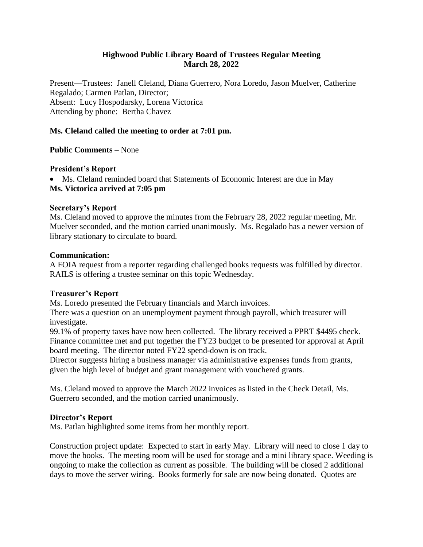# **Highwood Public Library Board of Trustees Regular Meeting March 28, 2022**

Present—Trustees: Janell Cleland, Diana Guerrero, Nora Loredo, Jason Muelver, Catherine Regalado; Carmen Patlan, Director; Absent: Lucy Hospodarsky, Lorena Victorica Attending by phone: Bertha Chavez

# **Ms. Cleland called the meeting to order at 7:01 pm.**

**Public Comments** – None

### **President's Report**

 Ms. Cleland reminded board that Statements of Economic Interest are due in May **Ms. Victorica arrived at 7:05 pm**

### **Secretary's Report**

Ms. Cleland moved to approve the minutes from the February 28, 2022 regular meeting, Mr. Muelver seconded, and the motion carried unanimously. Ms. Regalado has a newer version of library stationary to circulate to board*.*

### **Communication:**

A FOIA request from a reporter regarding challenged books requests was fulfilled by director. RAILS is offering a trustee seminar on this topic Wednesday.

### **Treasurer's Report**

Ms. Loredo presented the February financials and March invoices.

There was a question on an unemployment payment through payroll, which treasurer will investigate.

99.1% of property taxes have now been collected. The library received a PPRT \$4495 check. Finance committee met and put together the FY23 budget to be presented for approval at April board meeting. The director noted FY22 spend-down is on track.

Director suggests hiring a business manager via administrative expenses funds from grants, given the high level of budget and grant management with vouchered grants.

Ms. Cleland moved to approve the March 2022 invoices as listed in the Check Detail, Ms. Guerrero seconded, and the motion carried unanimously.

### **Director's Report**

Ms. Patlan highlighted some items from her monthly report.

Construction project update: Expected to start in early May. Library will need to close 1 day to move the books. The meeting room will be used for storage and a mini library space. Weeding is ongoing to make the collection as current as possible. The building will be closed 2 additional days to move the server wiring. Books formerly for sale are now being donated. Quotes are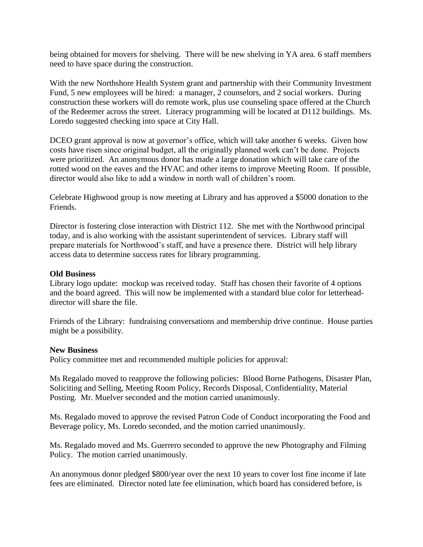being obtained for movers for shelving. There will be new shelving in YA area. 6 staff members need to have space during the construction.

With the new Northshore Health System grant and partnership with their Community Investment Fund, 5 new employees will be hired: a manager, 2 counselors, and 2 social workers. During construction these workers will do remote work, plus use counseling space offered at the Church of the Redeemer across the street. Literacy programming will be located at D112 buildings. Ms. Loredo suggested checking into space at City Hall.

DCEO grant approval is now at governor's office, which will take another 6 weeks. Given how costs have risen since original budget, all the originally planned work can't be done. Projects were prioritized. An anonymous donor has made a large donation which will take care of the rotted wood on the eaves and the HVAC and other items to improve Meeting Room. If possible, director would also like to add a window in north wall of children's room.

Celebrate Highwood group is now meeting at Library and has approved a \$5000 donation to the Friends.

Director is fostering close interaction with District 112. She met with the Northwood principal today, and is also working with the assistant superintendent of services. Library staff will prepare materials for Northwood's staff, and have a presence there. District will help library access data to determine success rates for library programming.

### **Old Business**

Library logo update: mockup was received today. Staff has chosen their favorite of 4 options and the board agreed. This will now be implemented with a standard blue color for letterheaddirector will share the file.

Friends of the Library: fundraising conversations and membership drive continue. House parties might be a possibility.

#### **New Business**

Policy committee met and recommended multiple policies for approval:

Ms Regalado moved to reapprove the following policies: Blood Borne Pathogens, Disaster Plan, Soliciting and Selling, Meeting Room Policy, Records Disposal, Confidentiality, Material Posting. Mr. Muelver seconded and the motion carried unanimously.

Ms. Regalado moved to approve the revised Patron Code of Conduct incorporating the Food and Beverage policy, Ms. Loredo seconded, and the motion carried unanimously.

Ms. Regalado moved and Ms. Guerrero seconded to approve the new Photography and Filming Policy. The motion carried unanimously.

An anonymous donor pledged \$800/year over the next 10 years to cover lost fine income if late fees are eliminated. Director noted late fee elimination, which board has considered before, is